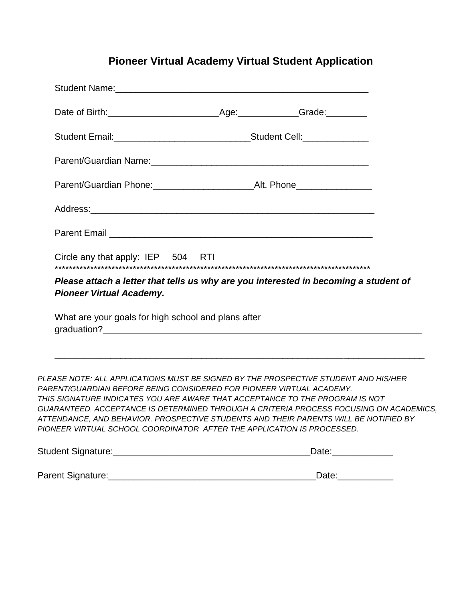## **Pioneer Virtual Academy Virtual Student Application**

| Student Name: William Student Name: William Student Name: William Student Name: William Student Name: William Student Name: William Student Name: William Student Name: William Student Name: William Student Name: William St                           |                   |  |
|----------------------------------------------------------------------------------------------------------------------------------------------------------------------------------------------------------------------------------------------------------|-------------------|--|
|                                                                                                                                                                                                                                                          |                   |  |
| Student Email:___________________________________Student Cell:__________________                                                                                                                                                                         |                   |  |
|                                                                                                                                                                                                                                                          |                   |  |
|                                                                                                                                                                                                                                                          |                   |  |
|                                                                                                                                                                                                                                                          |                   |  |
|                                                                                                                                                                                                                                                          |                   |  |
| Circle any that apply: IEP 504 RTI                                                                                                                                                                                                                       |                   |  |
| Please attach a letter that tells us why are you interested in becoming a student of<br><b>Pioneer Virtual Academy.</b>                                                                                                                                  |                   |  |
| What are your goals for high school and plans after                                                                                                                                                                                                      |                   |  |
|                                                                                                                                                                                                                                                          |                   |  |
| PLEASE NOTE: ALL APPLICATIONS MUST BE SIGNED BY THE PROSPECTIVE STUDENT AND HIS/HER<br>PARENT/GUARDIAN BEFORE BEING CONSIDERED FOR PIONEER VIRTUAL ACADEMY.                                                                                              |                   |  |
| THIS SIGNATURE INDICATES YOU ARE AWARE THAT ACCEPTANCE TO THE PROGRAM IS NOT                                                                                                                                                                             |                   |  |
| GUARANTEED. ACCEPTANCE IS DETERMINED THROUGH A CRITERIA PROCESS FOCUSING ON ACADEMICS,<br>ATTENDANCE, AND BEHAVIOR. PROSPECTIVE STUDENTS AND THEIR PARENTS WILL BE NOTIFIED BY<br>PIONEER VIRTUAL SCHOOL COORDINATOR AFTER THE APPLICATION IS PROCESSED. |                   |  |
|                                                                                                                                                                                                                                                          | Date:____________ |  |

Parent Signature:\_\_\_\_\_\_\_\_\_\_\_\_\_\_\_\_\_\_\_\_\_\_\_\_\_\_\_\_\_\_\_\_\_\_\_\_\_\_\_\_\_Date:\_\_\_\_\_\_\_\_\_\_\_